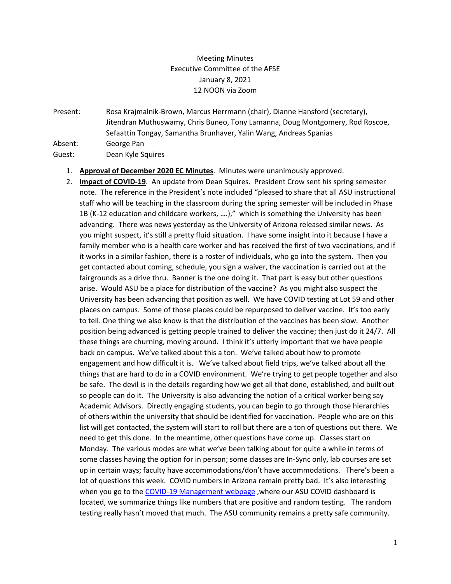## Meeting Minutes Executive Committee of the AFSE January 8, 2021 12 NOON via Zoom

Present: Rosa Krajmalnik-Brown, Marcus Herrmann (chair), Dianne Hansford (secretary), Jitendran Muthuswamy, Chris Buneo, Tony Lamanna, Doug Montgomery, Rod Roscoe, Sefaattin Tongay, Samantha Brunhaver, Yalin Wang, Andreas Spanias Absent: George Pan

Guest: Dean Kyle Squires

- 1. **Approval of December 2020 EC Minutes**. Minutes were unanimously approved.
- 2. **Impact of COVID-19**. An update from Dean Squires. President Crow sent his spring semester note. The reference in the President's note included "pleased to share that all ASU instructional staff who will be teaching in the classroom during the spring semester will be included in Phase 1B (K-12 education and childcare workers, ….)," which is something the University has been advancing. There was news yesterday as the University of Arizona released similar news. As you might suspect, it's still a pretty fluid situation. I have some insight into it because I have a family member who is a health care worker and has received the first of two vaccinations, and if it works in a similar fashion, there is a roster of individuals, who go into the system. Then you get contacted about coming, schedule, you sign a waiver, the vaccination is carried out at the fairgrounds as a drive thru. Banner is the one doing it. That part is easy but other questions arise. Would ASU be a place for distribution of the vaccine? As you might also suspect the University has been advancing that position as well. We have COVID testing at Lot 59 and other places on campus. Some of those places could be repurposed to deliver vaccine. It's too early to tell. One thing we also know is that the distribution of the vaccines has been slow. Another position being advanced is getting people trained to deliver the vaccine; then just do it 24/7. All these things are churning, moving around. I think it's utterly important that we have people back on campus. We've talked about this a ton. We've talked about how to promote engagement and how difficult it is. We've talked about field trips, we've talked about all the things that are hard to do in a COVID environment. We're trying to get people together and also be safe. The devil is in the details regarding how we get all that done, established, and built out so people can do it. The University is also advancing the notion of a critical worker being say Academic Advisors. Directly engaging students, you can begin to go through those hierarchies of others within the university that should be identified for vaccination. People who are on this list will get contacted, the system will start to roll but there are a ton of questions out there. We need to get this done. In the meantime, other questions have come up. Classes start on Monday. The various modes are what we've been talking about for quite a while in terms of some classes having the option for in person; some classes are In-Sync only, lab courses are set up in certain ways; faculty have accommodations/don't have accommodations. There's been a lot of questions this week. COVID numbers in Arizona remain pretty bad. It's also interesting when you go to the [COVID-19 Management webpage](http://click.reply.asu.edu/?qs=ac8ba14df4bed9e1d3af2607d7f8790c89b2e77a87c237faab674aaddccf271ecb1c2a4fa68af39debd9fb0273fab14d324bde53d8fb5537) ,where our ASU COVID dashboard is located, we summarize things like numbers that are positive and random testing. The random testing really hasn't moved that much. The ASU community remains a pretty safe community.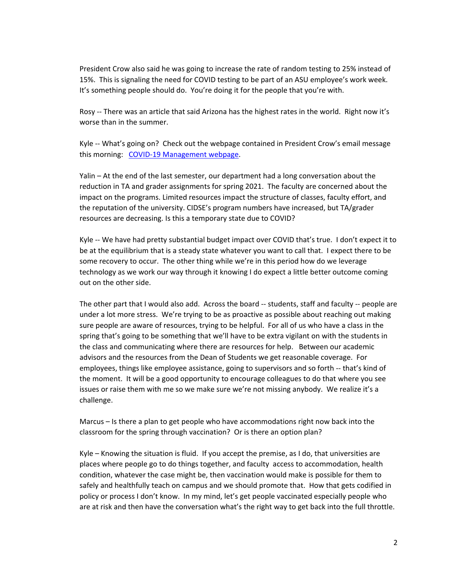President Crow also said he was going to increase the rate of random testing to 25% instead of 15%. This is signaling the need for COVID testing to be part of an ASU employee's work week. It's something people should do. You're doing it for the people that you're with.

Rosy -- There was an article that said Arizona has the highest rates in the world. Right now it's worse than in the summer.

Kyle -- What's going on? Check out the webpage contained in President Crow's email message this morning: [COVID-19 Management webpage.](http://click.reply.asu.edu/?qs=ac8ba14df4bed9e1d3af2607d7f8790c89b2e77a87c237faab674aaddccf271ecb1c2a4fa68af39debd9fb0273fab14d324bde53d8fb5537)

Yalin – At the end of the last semester, our department had a long conversation about the reduction in TA and grader assignments for spring 2021. The faculty are concerned about the impact on the programs. Limited resources impact the structure of classes, faculty effort, and the reputation of the university. CIDSE's program numbers have increased, but TA/grader resources are decreasing. Is this a temporary state due to COVID?

Kyle -- We have had pretty substantial budget impact over COVID that's true. I don't expect it to be at the equilibrium that is a steady state whatever you want to call that. I expect there to be some recovery to occur. The other thing while we're in this period how do we leverage technology as we work our way through it knowing I do expect a little better outcome coming out on the other side.

The other part that I would also add. Across the board -- students, staff and faculty -- people are under a lot more stress. We're trying to be as proactive as possible about reaching out making sure people are aware of resources, trying to be helpful. For all of us who have a class in the spring that's going to be something that we'll have to be extra vigilant on with the students in the class and communicating where there are resources for help. Between our academic advisors and the resources from the Dean of Students we get reasonable coverage. For employees, things like employee assistance, going to supervisors and so forth -- that's kind of the moment. It will be a good opportunity to encourage colleagues to do that where you see issues or raise them with me so we make sure we're not missing anybody. We realize it's a challenge.

Marcus – Is there a plan to get people who have accommodations right now back into the classroom for the spring through vaccination? Or is there an option plan?

Kyle – Knowing the situation is fluid. If you accept the premise, as I do, that universities are places where people go to do things together, and faculty access to accommodation, health condition, whatever the case might be, then vaccination would make is possible for them to safely and healthfully teach on campus and we should promote that. How that gets codified in policy or process I don't know. In my mind, let's get people vaccinated especially people who are at risk and then have the conversation what's the right way to get back into the full throttle.